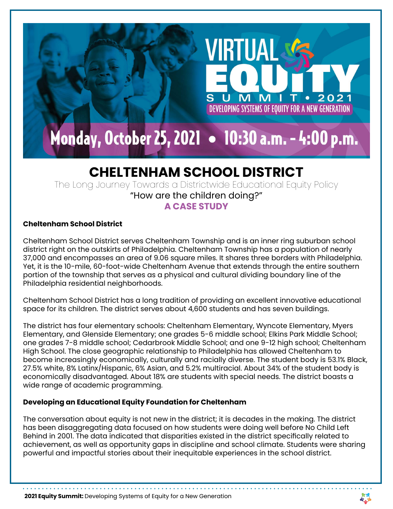

VIRTUAI

M

N T

DEVELOPING SYSTEMS OF EQUITY FOR A NEW GENERATION

 $\bullet$ 

2021

# **CHELTENHAM SCHOOL DISTRICT**

The Long Journey Towards a Districtwide Educational Equity Policy

"How are the children doing?"

# **A CASE STUDY**

## **Cheltenham School District**

Cheltenham School District serves Cheltenham Township and is an inner ring suburban school district right on the outskirts of Philadelphia. Cheltenham Township has a population of nearly 37,000 and encompasses an area of 9.06 square miles. It shares three borders with Philadelphia. Yet, it is the 10-mile, 60-foot-wide Cheltenham Avenue that extends through the entire southern portion of the township that serves as a physical and cultural dividing boundary line of the Philadelphia residential neighborhoods.

Cheltenham School District has a long tradition of providing an excellent innovative educational space for its children. The district serves about 4,600 students and has seven buildings.

The district has four elementary schools: Cheltenham Elementary, Wyncote Elementary, Myers Elementary, and Glenside Elementary; one grades 5-6 middle school; Elkins Park Middle School; one grades 7-8 middle school; Cedarbrook Middle School; and one 9-12 high school; Cheltenham High School. The close geographic relationship to Philadelphia has allowed Cheltenham to become increasingly economically, culturally and racially diverse. The student body is 53.1% Black, 27.5% white, 8% Latinx/Hispanic, 6% Asian, and 5.2% multiracial. About 34% of the student body is economically disadvantaged. About 18% are students with special needs. The district boasts a wide range of academic programming.

### **Developing an Educational Equity Foundation for Cheltenham**

The conversation about equity is not new in the district; it is decades in the making. The district has been disaggregating data focused on how students were doing well before No Child Left Behind in 2001. The data indicated that disparities existed in the district specifically related to achievement, as well as opportunity gaps in discipline and school climate. Students were sharing powerful and impactful stories about their inequitable experiences in the school district.

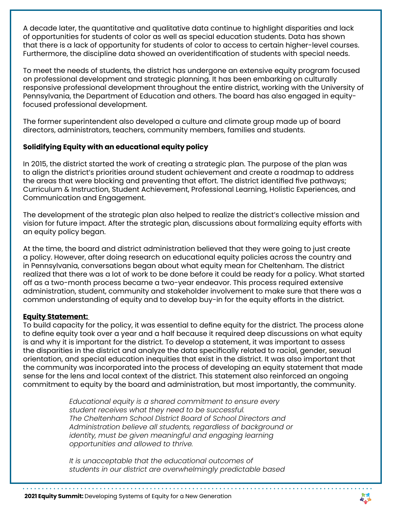A decade later, the quantitative and qualitative data continue to highlight disparities and lack of opportunities for students of color as well as special education students. Data has shown that there is a lack of opportunity for students of color to access to certain higher-level courses. Furthermore, the discipline data showed an overidentification of students with special needs.

To meet the needs of students, the district has undergone an extensive equity program focused on professional development and strategic planning. It has been embarking on culturally responsive professional development throughout the entire district, working with the University of Pennsylvania, the Department of Education and others. The board has also engaged in equityfocused professional development.

The former superintendent also developed a culture and climate group made up of board directors, administrators, teachers, community members, families and students.

## **Solidifying Equity with an educational equity policy**

In 2015, the district started the work of creating a strategic plan. The purpose of the plan was to align the district's priorities around student achievement and create a roadmap to address the areas that were blocking and preventing that effort. The district identified five pathways; Curriculum & Instruction, Student Achievement, Professional Learning, Holistic Experiences, and Communication and Engagement.

The development of the strategic plan also helped to realize the district's collective mission and vision for future impact. After the strategic plan, discussions about formalizing equity efforts with an equity policy began.

At the time, the board and district administration believed that they were going to just create a policy. However, after doing research on educational equity policies across the country and in Pennsylvania, conversations began about what equity mean for Cheltenham. The district realized that there was a lot of work to be done before it could be ready for a policy. What started off as a two-month process became a two-year endeavor. This process required extensive administration, student, community and stakeholder involvement to make sure that there was a common understanding of equity and to develop buy-in for the equity efforts in the district.

#### **Equity Statement:**

To build capacity for the policy, it was essential to define equity for the district. The process alone to define equity took over a year and a half because it required deep discussions on what equity is and why it is important for the district. To develop a statement, it was important to assess the disparities in the district and analyze the data specifically related to racial, gender, sexual orientation, and special education inequities that exist in the district. It was also important that the community was incorporated into the process of developing an equity statement that made sense for the lens and local context of the district. This statement also reinforced an ongoing commitment to equity by the board and administration, but most importantly, the community.

> *Educational equity is a shared commitment to ensure every student receives what they need to be successful. The Cheltenham School District Board of School Directors and Administration believe all students, regardless of background or identity, must be given meaningful and engaging learning opportunities and allowed to thrive.*

 *It is unacceptable that the educational outcomes of students in our district are overwhelmingly predictable based* 

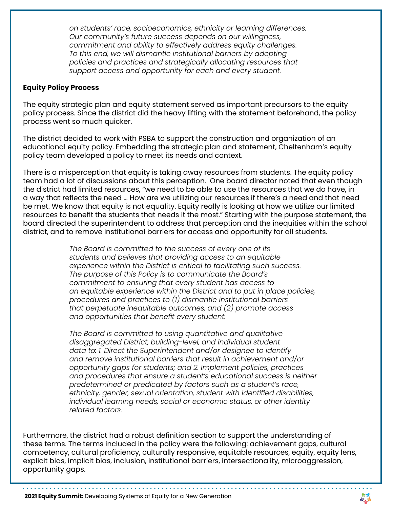*on students' race, socioeconomics, ethnicity or learning differences. Our community's future success depends on our willingness, commitment and ability to effectively address equity challenges. To this end, we will dismantle institutional barriers by adopting policies and practices and strategically allocating resources that support access and opportunity for each and every student.*

#### **Equity Policy Process**

The equity strategic plan and equity statement served as important precursors to the equity policy process. Since the district did the heavy lifting with the statement beforehand, the policy process went so much quicker.

The district decided to work with PSBA to support the construction and organization of an educational equity policy. Embedding the strategic plan and statement, Cheltenham's equity policy team developed a policy to meet its needs and context.

There is a misperception that equity is taking away resources from students. The equity policy team had a lot of discussions about this perception. One board director noted that even though the district had limited resources, "we need to be able to use the resources that we do have, in a way that reflects the need … How are we utilizing our resources if there's a need and that need be met. We know that equity is not equality. Equity really is looking at how we utilize our limited resources to benefit the students that needs it the most." Starting with the purpose statement, the board directed the superintendent to address that perception and the inequities within the school district, and to remove institutional barriers for access and opportunity for all students.

> *The Board is committed to the success of every one of its students and believes that providing access to an equitable experience within the District is critical to facilitating such success. The purpose of this Policy is to communicate the Board's commitment to ensuring that every student has access to an equitable experience within the District and to put in place policies, procedures and practices to (1) dismantle institutional barriers that perpetuate inequitable outcomes, and (2) promote access and opportunities that benefit every student.*

 *The Board is committed to using quantitative and qualitative disaggregated District, building-level, and individual student data to: 1. Direct the Superintendent and/or designee to identify and remove institutional barriers that result in achievement and/or opportunity gaps for students; and 2. Implement policies, practices and procedures that ensure a student's educational success is neither predetermined or predicated by factors such as a student's race, ethnicity, gender, sexual orientation, student with identified disabilities, individual learning needs, social or economic status, or other identity related factors.*

Furthermore, the district had a robust definition section to support the understanding of these terms. The terms included in the policy were the following: achievement gaps, cultural competency, cultural proficiency, culturally responsive, equitable resources, equity, equity lens, explicit bias, implicit bias, inclusion, institutional barriers, intersectionality, microaggression, opportunity gaps.